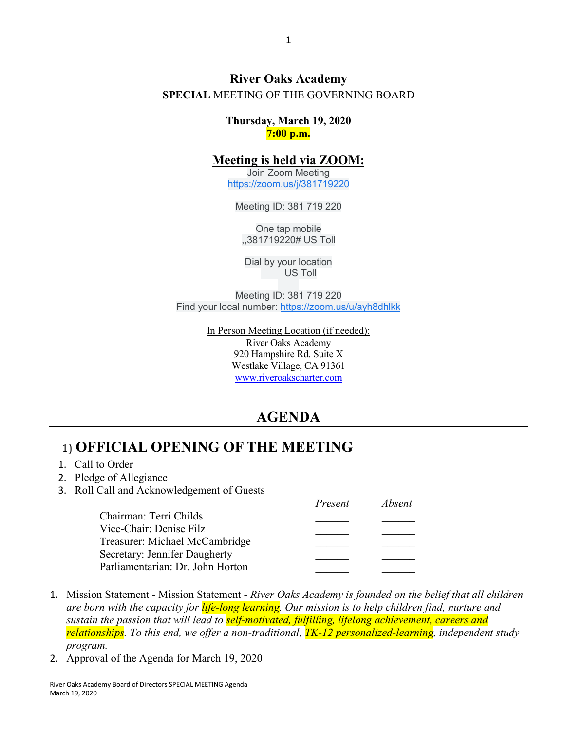#### **River Oaks Academy SPECIAL** MEETING OF THE GOVERNING BOARD

**Thursday, March 19, 2020 7:00 p.m.**

#### **Meeting is held via ZOOM:**

Join Zoom Meeting [https://zoom.us/j/381719220](https://www.google.com/url?q=https://zoom.us/j/381719220&sa=D&ust=1584983044035000&usg=AOvVaw0gB9sCnHhburNzskW8rqHB)

Meeting ID: 381 719 220

One tap mobile ,,381719220# US Toll

Dial by your location US Toll

Meeting ID: 381 719 220 Find your local number: [https://zoom.us/u/ayh8dhlkk](https://www.google.com/url?q=https://zoom.us/u/ayh8dhlkk&sa=D&ust=1584983044035000&usg=AOvVaw0rgvH_SNSEXqaoRm3ni1RR)

> In Person Meeting Location (if needed): River Oaks Academy 920 Hampshire Rd. Suite X Westlake Village, CA 91361 [www.riveroakscharter.com](http://www.riveroakscharter.com/)

### **AGENDA**

### 1) **OFFICIAL OPENING OF THE MEETING**

- 1. Call to Order
- 2. Pledge of Allegiance
- 3. Roll Call and Acknowledgement of Guests

|                                  | Present | Absent |
|----------------------------------|---------|--------|
| Chairman: Terri Childs           |         |        |
| Vice-Chair: Denise Filz          |         |        |
| Treasurer: Michael McCambridge   |         |        |
| Secretary: Jennifer Daugherty    |         |        |
| Parliamentarian: Dr. John Horton |         |        |

- 1. Mission Statement Mission Statement *River Oaks Academy is founded on the belief that all children are born with the capacity for life-long learning. Our mission is to help children find, nurture and sustain the passion that will lead to self-motivated, fulfilling, lifelong achievement, careers and relationships. To this end, we offer a non-traditional, TK-12 personalized-learning, independent study program.*
- 2. Approval of the Agenda for March 19, 2020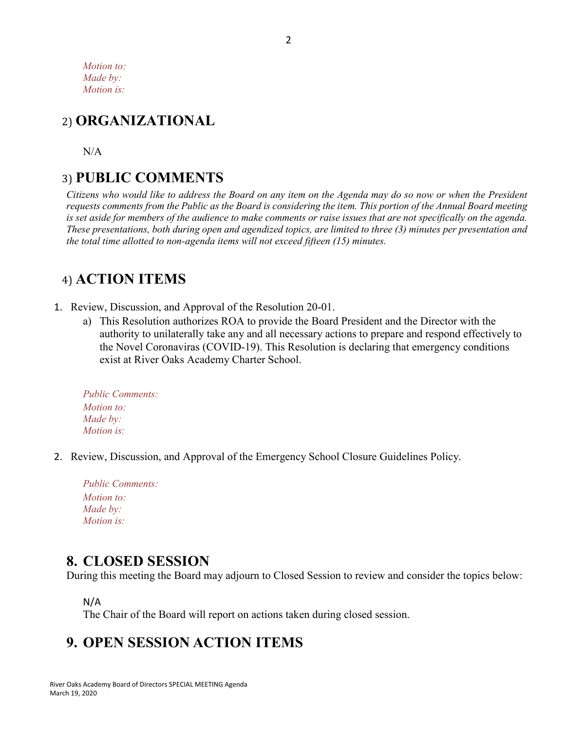*Motion to: Made by: Motion is:*

# 2) **ORGANIZATIONAL**

 $N/A$ 

## 3) **PUBLIC COMMENTS**

*Citizens who would like to address the Board on any item on the Agenda may do so now or when the President requests comments from the Public as the Board is considering the item. This portion of the Annual Board meeting is set aside for members of the audience to make comments or raise issues that are not specifically on the agenda. These presentations, both during open and agendized topics, are limited to three (3) minutes per presentation and the total time allotted to non-agenda items will not exceed fifteen (15) minutes.*

## 4) **ACTION ITEMS**

- 1. Review, Discussion, and Approval of the Resolution 20-01.
	- a) This Resolution authorizes ROA to provide the Board President and the Director with the authority to unilaterally take any and all necessary actions to prepare and respond effectively to the Novel Coronaviras (COVID-19). This Resolution is declaring that emergency conditions exist at River Oaks Academy Charter School.

| <b>Public Comments:</b> |
|-------------------------|
| <i>Motion to:</i>       |
| Made by:                |
| <i>Motion is:</i>       |

2. Review, Discussion, and Approval of the Emergency School Closure Guidelines Policy.

| <b>Public Comments:</b> |
|-------------------------|
| <i>Motion to:</i>       |
| Made by:                |
| <i>Motion is:</i>       |
|                         |

### **8. CLOSED SESSION**

During this meeting the Board may adjourn to Closed Session to review and consider the topics below:

N/A

The Chair of the Board will report on actions taken during closed session.

## **9. OPEN SESSION ACTION ITEMS**